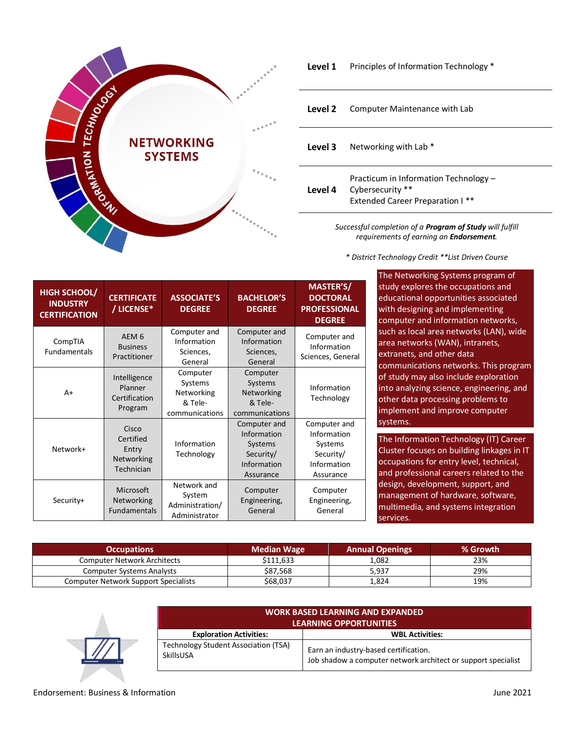

| Level 1 |  | Principles of Information Technology * |  |
|---------|--|----------------------------------------|--|
|---------|--|----------------------------------------|--|

| Level 2 | Computer Maintenance with Lab                                                                        |
|---------|------------------------------------------------------------------------------------------------------|
| Level 3 | Networking with Lab <sup>*</sup>                                                                     |
| Level 4 | Practicum in Information Technology -<br>Cybersecurity **<br><b>Extended Career Preparation I **</b> |
|         |                                                                                                      |

*Successful completion of a Program of Study will fulfill requirements of earning an Endorsement.*

*\* District Technology Credit \*\*List Driven Course*

| <b>HIGH SCHOOL/</b><br><b>INDUSTRY</b><br><b>CERTIFICATION</b> | <b>CERTIFICATE</b><br>/ LICENSE*                        | <b>ASSOCIATE'S</b><br><b>DEGREE</b>                            | <b>BACHELOR'S</b><br><b>DEGREE</b>                                              | <b>MASTER'S/</b><br><b>DOCTORAL</b><br><b>PROFESSIONAL</b><br><b>DEGREE</b>     |
|----------------------------------------------------------------|---------------------------------------------------------|----------------------------------------------------------------|---------------------------------------------------------------------------------|---------------------------------------------------------------------------------|
| CompTIA<br><b>Fundamentals</b>                                 | AEM <sub>6</sub><br><b>Business</b><br>Practitioner     | Computer and<br>Information<br>Sciences,<br>General            | Computer and<br>Information<br>Sciences,<br>General                             | Computer and<br>Information<br>Sciences, General                                |
| $A+$                                                           | Intelligence<br>Planner<br>Certification<br>Program     | Computer<br>Systems<br>Networking<br>& Tele-<br>communications | Computer<br>Systems<br>Networking<br>& Tele-<br>communications                  | Information<br>Technology                                                       |
| Network+                                                       | Cisco<br>Certified<br>Entry<br>Networking<br>Technician | Information<br>Technology                                      | Computer and<br>Information<br>Systems<br>Security/<br>Information<br>Assurance | Computer and<br>Information<br>Systems<br>Security/<br>Information<br>Assurance |
| Security+                                                      | Microsoft<br>Networking<br><b>Fundamentals</b>          | Network and<br>System<br>Administration/<br>Administrator      | Computer<br>Engineering,<br>General                                             | Computer<br>Engineering,<br>General                                             |

The Networking Systems program of tudy explores the occupations and ducational opportunities associated with designing and implementing computer and information networks, uch as local area networks (LAN), wide rea networks (WAN), intranets, xtranets, and other data ommunications networks. This program f study may also include exploration nto analyzing science, engineering, and ther data processing problems to nplement and improve computer systems.

he Information Technology (IT) Career luster focuses on building linkages in IT ccupations for entry level, technical, nd professional careers related to the esign, development, support, and management of hardware, software, multimedia, and systems integration ervices.

| <b>Occupations</b>                          | <b>Median Wage</b> | <b>Annual Openings</b> | % Growth |
|---------------------------------------------|--------------------|------------------------|----------|
| <b>Computer Network Architects</b>          | \$111.633          | 1,082                  | 23%      |
| <b>Computer Systems Analysts</b>            | \$87,568           | 5,937                  | 29%      |
| <b>Computer Network Support Specialists</b> | \$68,037           | 324. د                 | 19%      |



| <b>WORK BASED LEARNING AND EXPANDED</b><br><b>LEARNING OPPORTUNITIES</b> |                                                                                                        |  |
|--------------------------------------------------------------------------|--------------------------------------------------------------------------------------------------------|--|
| <b>Exploration Activities:</b>                                           | <b>WBL Activities:</b>                                                                                 |  |
| <b>Technology Student Association (TSA)</b><br>SkillsUSA                 | Earn an industry-based certification.<br>Job shadow a computer network architect or support specialist |  |